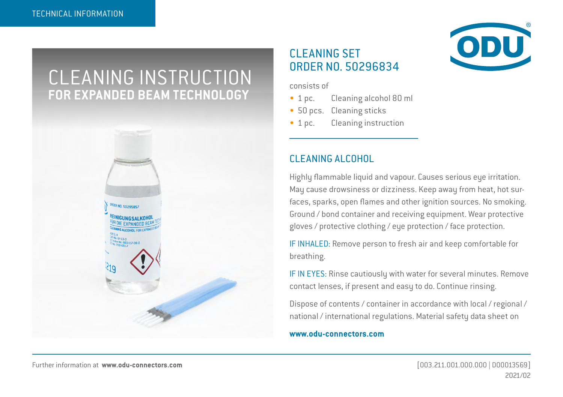# CLEANING INSTRUCTION **FOR EXPANDED BEAM TECHNOLOGY**



### CLEANING SET ORDER NO. 50296834

consists of

- 1 pc. Cleaning alcohol 80 ml
- 50 pcs. Cleaning sticks
- 1 pc. Cleaning instruction

### CLEANING ALCOHOL

Highly flammable liquid and vapour. Causes serious eye irritation. May cause drowsiness or dizziness. Keep away from heat, hot surfaces, sparks, open flames and other ignition sources. No smoking. Ground / bond container and receiving equipment. Wear protective gloves / protective clothing / eye protection / face protection.

IF INHALED: Remove person to fresh air and keep comfortable for breathing.

IF IN EYES: Rinse cautiously with water for several minutes. Remove contact lenses, if present and easy to do. Continue rinsing.

Dispose of contents / container in accordance with local / regional / national / international regulations. Material safety data sheet on

#### **www.odu-connectors.com**